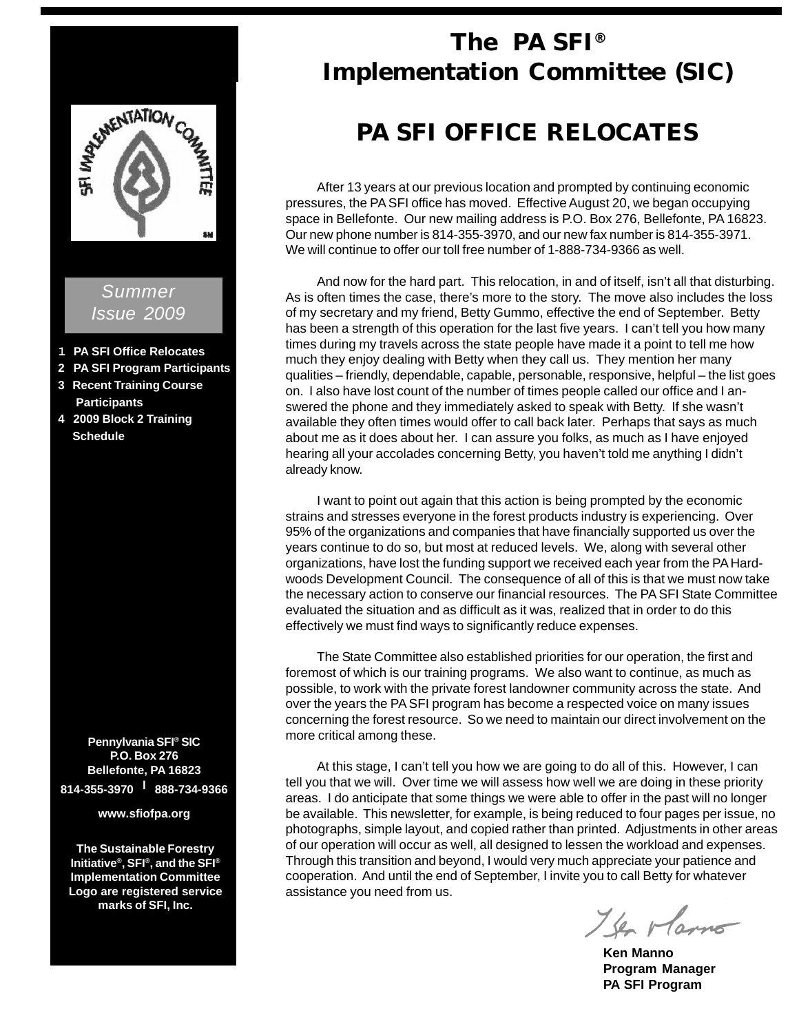

# *Summer Issue 2009*

- **1 PA SFI Office Relocates**
- **2 PA SFI Program Participants**
- **3 Recent Training Course Participants**
- **4 2009 Block 2 Training Schedule**

**Pennylvania SFI® SIC P.O. Box 276 Bellefonte, PA 16823 814-355-3970 l 888-734-9366**

**www.sfiofpa.org**

**The Sustainable Forestry Initiative®, SFI®, and the SFI® Implementation Committee Logo are registered service marks of SFI, Inc.**

# **The PA SFI® Implementation Committee (SIC)**

# **PA SFI OFFICE RELOCATES**

After 13 years at our previous location and prompted by continuing economic pressures, the PA SFI office has moved. Effective August 20, we began occupying space in Bellefonte. Our new mailing address is P.O. Box 276, Bellefonte, PA 16823. Our new phone number is 814-355-3970, and our new fax number is 814-355-3971. We will continue to offer our toll free number of 1-888-734-9366 as well.

And now for the hard part. This relocation, in and of itself, isn't all that disturbing. As is often times the case, there's more to the story. The move also includes the loss of my secretary and my friend, Betty Gummo, effective the end of September. Betty has been a strength of this operation for the last five years. I can't tell you how many times during my travels across the state people have made it a point to tell me how much they enjoy dealing with Betty when they call us. They mention her many qualities – friendly, dependable, capable, personable, responsive, helpful – the list goes on. I also have lost count of the number of times people called our office and I answered the phone and they immediately asked to speak with Betty. If she wasn't available they often times would offer to call back later. Perhaps that says as much about me as it does about her. I can assure you folks, as much as I have enjoyed hearing all your accolades concerning Betty, you haven't told me anything I didn't already know.

I want to point out again that this action is being prompted by the economic strains and stresses everyone in the forest products industry is experiencing. Over 95% of the organizations and companies that have financially supported us over the years continue to do so, but most at reduced levels. We, along with several other organizations, have lost the funding support we received each year from the PA Hardwoods Development Council. The consequence of all of this is that we must now take the necessary action to conserve our financial resources. The PA SFI State Committee evaluated the situation and as difficult as it was, realized that in order to do this effectively we must find ways to significantly reduce expenses.

The State Committee also established priorities for our operation, the first and foremost of which is our training programs. We also want to continue, as much as possible, to work with the private forest landowner community across the state. And over the years the PA SFI program has become a respected voice on many issues concerning the forest resource. So we need to maintain our direct involvement on the more critical among these.

At this stage, I can't tell you how we are going to do all of this. However, I can tell you that we will. Over time we will assess how well we are doing in these priority areas. I do anticipate that some things we were able to offer in the past will no longer be available. This newsletter, for example, is being reduced to four pages per issue, no photographs, simple layout, and copied rather than printed. Adjustments in other areas of our operation will occur as well, all designed to lessen the workload and expenses. Through this transition and beyond, I would very much appreciate your patience and cooperation. And until the end of September, I invite you to call Betty for whatever assistance you need from us.

The Marno

**Ken Manno Program Manager PA SFI Program**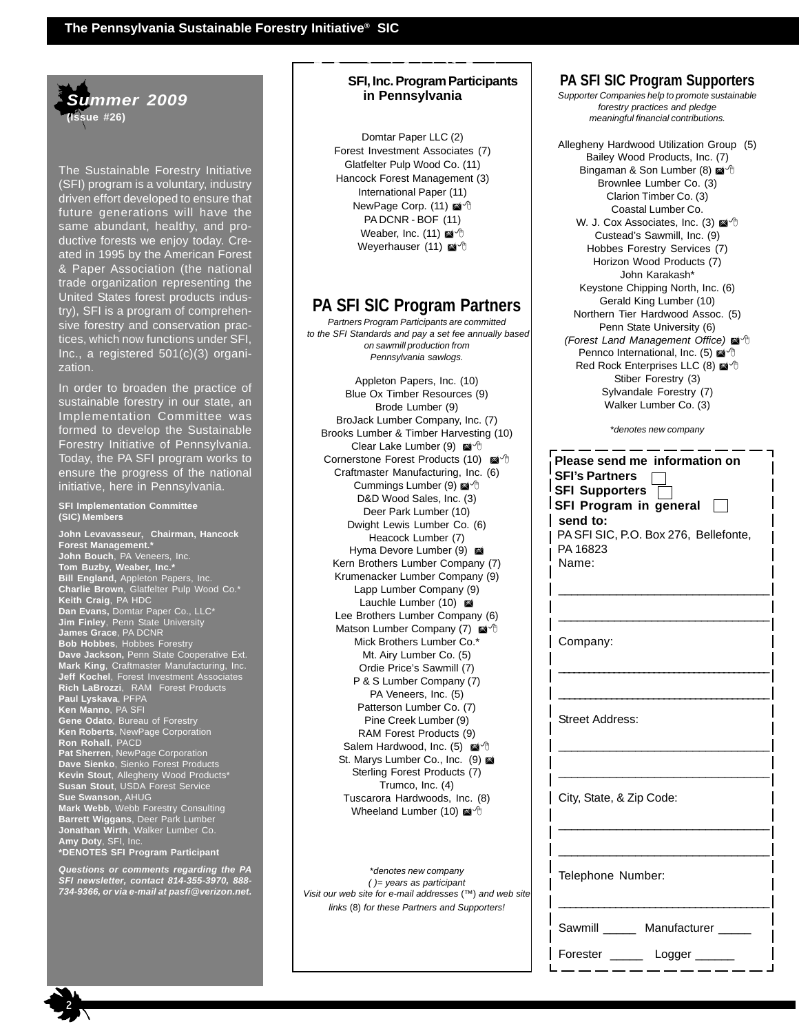

The Sustainable Forestry Initiative (SFI) program is a voluntary, industry driven effort developed to ensure that future generations will have the same abundant, healthy, and productive forests we enjoy today. Created in 1995 by the American Forest & Paper Association (the national trade organization representing the United States forest products industry), SFI is a program of comprehensive forestry and conservation practices, which now functions under SFI, Inc., a registered 501(c)(3) organization.

In order to broaden the practice of sustainable forestry in our state, an Implementation Committee was formed to develop the Sustainable Forestry Initiative of Pennsylvania. Today, the PA SFI program works to ensure the progress of the national initiative, here in Pennsylvania.

#### **SFI Implementation Committee (SIC) Members**

**John Levavasseur, Chairman, Hancock Forest Management.\* John Bouch**, PA Veneers, Inc. **Tom Buzby, Weaber, Inc.\* Bill England,** Appleton Papers, Inc. **Charlie Brown**, Glatfelter Pulp Wood Co.\* **Keith Craig**, PA HDC **Dan Evans,** Domtar Paper Co., LLC\* **Jim Finley**, Penn State University **James Grace**, PA DCNR **Bob Hobbes**, Hobbes Forestry **Dave Jackson,** Penn State Cooperative Ext. **Mark King**, Craftmaster Manufacturing, Inc. **Jeff Kochel**, Forest Investment Associates **Rich LaBrozzi**, RAM Forest Products **Paul Lyskava**, PFPA **Ken Manno**, PA SFI **Gene Odato**, Bureau of Forestry **Ken Roberts**, NewPage Corporation **Ron Rohall**, PACD **Pat Sherren**, NewPage Corporation **Dave Sienko**, Sienko Forest Products **Kevin Stout**, Allegheny Wood Products\* **Susan Stout**, USDA Forest Service **Sue Swanson,** AHUG **Mark Webb**, Webb Forestry Consulting **Barrett Wiggans**, Deer Park Lumber **Jonathan Wirth**, Walker Lumber Co. **Amy Doty**, SFI, Inc. **\*DENOTES SFI Program Participant**

*Questions or comments regarding the PA SFI newsletter, contact 814-355-3970, 888- 734-9366, or via e-mail at pasfi@verizon.net.*

## **InitiaSFI, Inc. Program Participants in Pennsylvania**

**The Pennsylvania Sustainable Forestry**

Domtar Paper LLC (2) Forest Investment Associates (7) Glatfelter Pulp Wood Co. (11) Hancock Forest Management (3) International Paper (11) NewPage Corp. (11) PA DCNR - BOF (11) Weaber, Inc. (11) Weyerhauser (11)

# **PA SFI SIC Program Partners**

*Partners Program Participants are committed to the SFI Standards and pay a set fee annually based on sawmill production from Pennsylvania sawlogs.*

Appleton Papers, Inc. (10) Blue Ox Timber Resources (9) Brode Lumber (9) BroJack Lumber Company, Inc. (7) Brooks Lumber & Timber Harvesting (10) Clear Lake Lumber (9) Cornerstone Forest Products (10) Craftmaster Manufacturing, Inc. (6) Cummings Lumber (9) D&D Wood Sales, Inc. (3) Deer Park Lumber (10) Dwight Lewis Lumber Co. (6) Heacock Lumber (7) Hyma Devore Lumber (9) Kern Brothers Lumber Company (7) Krumenacker Lumber Company (9) Lapp Lumber Company (9) Lauchle Lumber (10) Lee Brothers Lumber Company (6) Matson Lumber Company (7) @ <sup>+</sup> Mick Brothers Lumber Co.\* Mt. Airy Lumber Co. (5) Ordie Price's Sawmill (7) P & S Lumber Company (7) PA Veneers, Inc. (5) Patterson Lumber Co. (7) Pine Creek Lumber (9) RAM Forest Products (9) Salem Hardwood, Inc. (5) St. Marys Lumber Co., Inc. (9) Sterling Forest Products (7) Trumco, Inc. (4) Tuscarora Hardwoods, Inc. (8) Wheeland Lumber (10) @ <sup>+</sup>

\**denotes new company ( )= years as participant Visit our web site for e-mail addresses* (™) *and web site links* (8) *for these Partners and Supporters!*

# **PA SFI SIC Program Supporters**

*Supporter Companies help to promote sustainable forestry practices and pledge meaningful financial contributions.*

Allegheny Hardwood Utilization Group (5) Bailey Wood Products, Inc. (7) Bingaman & Son Lumber (8) Brownlee Lumber Co. (3) Clarion Timber Co. (3) Coastal Lumber Co. W. J. Cox Associates, Inc. (3) @ <sup>+</sup> Custead's Sawmill, Inc. (9) Hobbes Forestry Services (7) Horizon Wood Products (7) John Karakash\* Keystone Chipping North, Inc. (6) Gerald King Lumber (10) Northern Tier Hardwood Assoc. (5) Penn State University (6) *(Forest Land Management Office)* <sup><sup>4</sup></sup> Pennco International, Inc. (5) @ <sup>0</sup> Red Rock Enterprises LLC (8) Stiber Forestry (3) Sylvandale Forestry (7) Walker Lumber Co. (3)

\**denotes new company*

| Please send me information on<br><b>SFI's Partners</b><br><b>SFI Supporters</b><br>SFI Program in general<br>send to:<br>PA SFI SIC, P.O. Box 276, Bellefonte,<br>PA 16823<br>Name: |
|-------------------------------------------------------------------------------------------------------------------------------------------------------------------------------------|
| Company:                                                                                                                                                                            |
| <b>Street Address:</b>                                                                                                                                                              |
| City, State, & Zip Code:                                                                                                                                                            |
| Telephone Number:                                                                                                                                                                   |
| Sawmill Manufacturer<br>Forester<br>Logger                                                                                                                                          |

2<br>2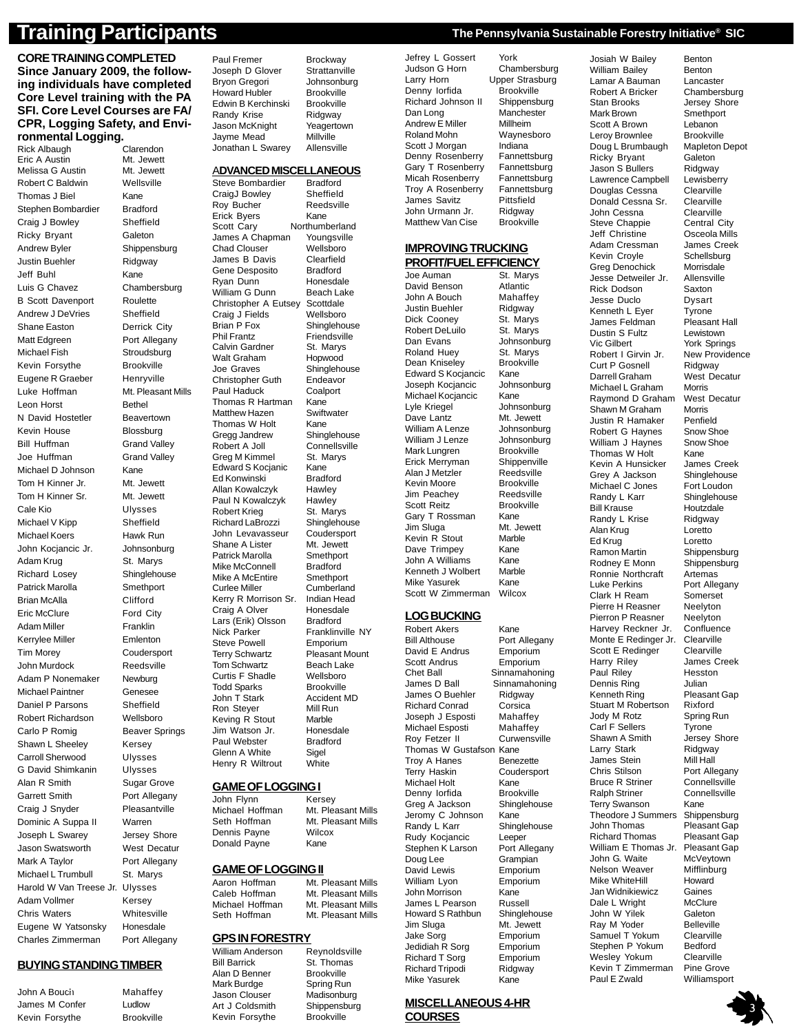**CORE TRAINING COMPLETED Since January 2009, the following individuals have completed Core Level training with the PA SFI. Core Level Courses are FA/ CPR, Logging Safety, and Environmental Logging.** Rick Albaugh

Eric A Austin Mt. Jewett Melissa G Austin Mt. Jewett Robert C Baldwin Wellsville Thomas J Biel Kane Stephen Bombardier Bradford Craig J Bowley Sheffield Ricky Bryant Galeton Andrew Byler Shippensburg Justin Buehler Ridgway Jeff Buhl Kane Luis G Chavez Chambersburg B Scott Davenport Roulette Andrew J DeVries Sheffield Shane Easton Derrick City Matt Edgreen Port Allegany Michael Fish Stroudsburg Kevin Forsythe Brookville Eugene R Graeber Henryville Luke Hoffman Mt. Pleasant Mills Leon Horst Bethel N David Hostetler Beavertown Kevin House Blossburg Bill Huffman Grand Valley Joe Huffman Grand Valley Michael D Johnson Kane Tom H Kinner Jr. Mt. Jewett Tom H Kinner Sr. Mt. Jewett Cale Kio Ulysses Michael V Kipp Sheffield Michael Koers Hawk Run John Kocjancic Jr. Johnsonburg Adam Krug St. Marys Richard Losey Shinglehouse Patrick Marolla Smethport Brian McAlla Clifford Eric McClure Ford City Adam Miller Franklin Kerrylee Miller **Emlenton** Tim Morey Coudersport John Murdock Reedsville Adam P Nonemaker Newburg Michael Paintner Genesee Daniel P Parsons Sheffield Robert Richardson Wellsboro Carlo P Romig Beaver Springs Shawn L Sheeley Kersey Carroll Sherwood Ulysses G David Shimkanin Ulysses Alan R Smith Sugar Grove Garrett Smith Port Allegany Craig J Snyder Pleasantville Dominic A Suppa II Warren Joseph L Swarey Jersey Shore Jason Swatsworth West Decatur Mark A Taylor Port Allegany Michael L Trumbull St. Marys Harold W Van Treese Jr. Ulysses Adam Vollmer Kersey Chris Waters Whitesville Eugene W Yatsonsky Honesdale Charles Zimmerman Port Allegany

### **BUYING STANDING TIMBER**

John A Bouch Mahaffey 2 James M Confer Ludlow Kevin Forsythe Brookville Bryon Gregori dohnsonbi<br>Howard Hubler Brookville Howard Hubler Brookville<br>Edwin B Kerchinski Brookville Edwin B Kerchinski Randy Krise Ridgway

CraigJ Bowley Erick Byers Kane<br>Scott Cary Northuml Chad Clouser Craig J Fields Walt Graham Thomas R Hartman Greg M Kimmel Ed Konwinski Mike McConnell Lars (Erik) Olsson Steve Powell<br>Terry Schwartz Curtis F Shadle Jim Watson Jr. Glenn A White Sigel Henry R Wiltrout White

# **GPS IN FORESTRY**<br>William Anderson Revnoldsville

William Anderson<br>Bill Barrick Alan D Benner Jason Clouser **Art J Coldsmith Shippensburg<br>Kevin Forsythe Brookville** Kevin Forsythe

Paul Fremer Brockway<br>Joseph D Glover Strattanville Joseph D Glover Strattanville<br>Bryon Gregori Johnsonburg Jason McKnight Yeagertown<br>Javme Mead Millville Jayme Mead Millville<br>Jonathan L Swarey Allensville Jonathan L Swarey

#### A**DVANCED MISCELLANEOUS**

Steve Bombardier Bradford<br>CraigJ Bowley Sheffield Roy Bucher Reedsville Northumberland<br>
Youngsville James A Chapman Youngsvill<br>Chad Clouser Wellsboro James B Davis Clearfield Gene Desposito Bradford<br>Rvan Dunn Honesdale Ryan Dunn Honesdale<br>William G Dunn Beach Lake William G Dunn Beach Lake<br>Christopher A Eutsey Scottdale Christopher A Eutsey Scottdale<br>Craig J Fields Wellsboro Brian P Fox Shinglehouse<br>
Phil Frantz Friendsville Friendsville<br>St. Marys Calvin Gardner St. Marys<br>Walt Graham Hopwood Joe Graves Shinglehouse Christopher Guth Endeavor Paul Haduck Coalport<br>Thomas R Hartman Kane Matthew Hazen Swiftwater Thomas W Holt Kane<br>Gregg Jandrew Shinglehouse Gregg Jandrew Shinglehouse<br>Robert A Joll Connellsville Robert A Joll Connellsv<br>Greg M Kimmel St Marys Edward S Kocjanic Kane<br>Ed Konwinski Bradford Allan Kowalczyk Hawley<br>Paul N Kowalczyk Hawley **Paul N Kowalczyk Hawley<br>Robert Krieg St. Marys** Robert Krieg St. Marys<br>Richard LaBrozzi Shinglehouse Richard LaBrozzi Shinglehouse<br>John Levavasseur Coudersport John Levavasseur Coudersport<br>Shane A Lister Mt. Jewett Shane A Lister Mt. Jewett<br>Patrick Marolla Smethport Patrick Marolla Smethport<br>Mike McConnell Bradford Mike A McEntire Smethport Curlee Miller Cumberland Kerry R Morrison Sr. Indian Head<br>Craig A Olver Honesdale Craig A Olver Honesda<br>Lars (Erik) Olsson Bradford Nick Parker Franklinville NY<br>Steve Powell Emporium Pleasant Mount<br>Beach Lake **Tom Schwartz** Beach Lake<br>Curtis E. Shadle Wellshoro Todd Sparks Brookville John T Stark **Accident MD**<br>Ron Stever Mill Run Ron Steyer Mill Rund<br>Keving R Stout Marble Keving R Stout Marble<br>Jim Watson Jr. Honesdale Paul Webster Bradford

## **GAME OF LOGGING I**

John Flynn Kersey<br>Michael Hoffman Mt. Plea Seth Hoffman Mt. Pleasant Mills<br>Dennis Pavne Wilcox Dennis Payne Donald Payne Kane

# **GAME OF LOGGING II** Aaron Hoffman Mt. Pleasant Mills

Mt. Pleasant Mills

Mt. Pleasant Mills

Caleb Hoffman Mt. Pleasant Mills Michael Hoffman Mt. Pleasant Mills<br>Seth Hoffman Mt Pleasant Mills

St. Thomas<br>Brookville Mark Burdge Spring Run<br>Jason Clouser Madisonburg Jefrey L Gossert York<br>Judson G Horn Chambersburg Judson G Horn<br>Larry Horn Denny Iorfida<br>Richard Johnson II Shippensburg Richard Johnson II Shippensburg<br>Dan Long Manchester Dan Long Manchest<br>Andrew E Miller Millheim Andrew E Miller Millheim<br>
Roland Mohn Maynesboro Roland Mohn Scott J Morgan Indiana<br>Denny Rosenberry Fannettsburg Denny Rosenberry Fannettsburg<br>Gary T Rosenberry Fannettsburg Gary T Rosenberry Fannettsburg<br>Micah Rosenberry Fannettsburg Micah Rosenberry Troy A Rosenberry Fannettsburg<br>James Savitz Pittsfield James Savitz Pittsfield<br>John Urmann Jr. Ridgway

#### **IMPROVING TRUCKING PROFIT/FUEL EFFICIENCY**

Joe Auman St. Marys<br>David Benson Atlantic David Benson Atlantic<br>
John A Bouch Mahaffey John A Bouch Mahaffe<br>Justin Buehler Ridaway Justin Buehler Dick Cooney St. Marys<br>Robert DeLuilo St. Marys Robert DeLuilo Dan Evans Johnsonburg<br>Roland Huey St. Marys Roland Huey St. Marys<br>Dean Kniselev Brookville Dean Kniseley Edward S Kocjancic Kane<br>Joseph Kocjancic Johnsonburg Joseph Kocjancic Michael Kocjancic Kane<br>Lyle Kriegel Johns Dave Lantz William A Lenze Johnsonburg William J Lenze Johnsonburg Mark Lungren Brookville<br>Erick Merryman Shippenville Erick Merryman Shippenvill<br>Alan J Metzler Reedsville Alan J Metzler Reedsville<br>Kevin Moore Brookville Kevin Moore Jim Peachey Reedsville Scott Reitz<br>Gary T Rossman Kane Gary T Rossman Kane<br>Jim Sluga Mt. Jewett Jim Sluga Mt. Jewetter Mt. Jewetter Kevin R Stout Dave Trimpey Kane John A Williams Kane<br>Kenneth J Wolbert Marble Kenneth J Wolbert Marbl<br>Mike Yasurek Kane Mike Yasurek Kane<br>Scott W Zimmerman Wilcox Scott W Zimmerman

### **LOG BUCKING**

Robert Akers Kane<br>Bill Althouse Port David E Andrus Emporium<br>Scott Andrus Emporium Scott Andrus<br>Chet Ball **Chet Ball** Sinnamahoning<br>James D Ball Sinnamahoning James O Buehler Richard Conrad Corsica<br>Joseph J Esposti Mahaffey Joseph J Esposti Mahaffey<br>Michael Esposti Mahaffey Michael Esposti Mahaffey<br>Rov Fetzer II Curwensville Roy Fetzer II Thomas W Gustafson Kane Troy A Hanes Benezette Terry Haskin Coudersport<br>Michael Holt Kane Michael Holt Kane<br>
Denny Iorfida Brookville Denny Iorfida Greg A Jackson Shinglehouse<br>Jeromy C Johnson Kane Jeromy C Johnson Kane<br>Randy L Karr Shinglehouse Randy L Karr Shingle<br>Rudy Kocjancic Leeper Rudy Kocjancic Leeper<br>Stephen K Larson Port Allegany Stephen K Larson Doug Lee Grampian David Lewis Emporium<br>
William Lyon Emporium William Lyon Emport<br>John Morrison Kane John Morrison Kane<br>James L Pearson Russell James L Pearson Russell<br>Howard S Rathbun Shinglehouse Howard S Rathbun Jim Sluga Mt. Jewett Jake Sorg Emporium<br>Jedidiah R Sorg Emporium Jedidiah R Sorg Emporium<br>Richard T Sorg Emporium Richard T Sorg Richard Tripodi Ridgway Mike Yasurek Kane

### **MISCELLANEOUS 4-HR COURSES**

# **Training Participants The Pennsylvania Sustainable Forestry Initiative<sup>®</sup> SIC**

Upper Strasburg

John Urmann Jr. Ridgway Matthew Van Cise

Port Allegany<br>Emporium Sinnamahoning<br>Ridgway

Johnsonburg<br>Mt. Jewett Mark Brown Ricky Bryant Adam Cressman<br>Kevin Croyle James Feldman Darrell Graham William J Haynes Michael C Jones Ed Krug<br>Ramon Martin Clark H Ream Scott E Redinger<br>Harry Riley Paul Riley Jody M Rotz James Stein<br>Chris Stilson

Josiah W Bailey Benton<br>William Bailey Benton William Bailey Lamar A Bauman Lancaster<br>Robert A Bricker Chambers Robert A Bricker Chambersburg<br>Stan Brooks Jersey Shore Jersey Shore<br>Smethport Scott A Brown Lebanon<br>
Leroy Brownlee Brookville Leroy Brownlee Brookville<br>Doug L Brumbaugh Mapleton Depot Doug L Brumbaugh Mapleton<br>Ricky Bryant Galeton Jason S Bullers Ridgway<br>Lawrence Campbell Lewisberry Lawrence Campbell Lewisberr<br>Douglas Cessna Clearville Douglas Cessna Clearville<br>Donald Cessna Sr Clearville **Donald Cessna Sr. Clearville**<br>John Cessna Clearville John Cessna<br>Steve Chappie Central City Steve Chappie Central City<br>
Jeff Christine Csceola Mills **Jeff Christine Osceola Mills**<br> **Adam Cressman James Creek** Schellsburg<br>Morrisdale Greg Denochick Morrisdale<br>Jesse Detweiler Jr. Allensville Jesse Detweiler Jr. Rick Dodson Saxton<br>Jesse Duclo Dysart Jesse Duclo<br>
Kenneth L Eyer Tyrone Kenneth L Eyer Tyrone<br>James Feldman Pleasant Hall Dustin S Fultz<br>
Vic Gilbert<br>
York Sprin York Springs<br>New Providence Robert I Girvin Jr. New Provident P Gosnell Ridgway Curt P Gosnell Ridgway<br>
Darrell Graham West Decatur Michael L Graham Morris Raymond D Graham West Decatur Shawn M Graham Morris<br>Justin R Hamaker Penfield Justin R Hamaker Penfield<br>Robert G Haynes Snow Shoe Robert G Haynes Snow Shoe<br>William J Haynes Snow Shoe Thomas W Holt Kane<br>Kevin A Hunsicker James Creek Kevin A Hunsicker James Creek<br>Grey A Jackson Shinglehouse Grey A Jackson Shinglehouse<br>Michael C Jones Fort Loudon Randy L Karr Shinglehouse Bill Krause Houtzdale Randy L Krise Ridgway<br>Alan Krug Loretto Alan Krug Loretto Shippensburg Rodney E Monn Shippensburg Ronnie Northcraft Artemas<br>
Luke Perkins Port Alle Port Allegany<br>Somerset Pierre H Reasner Neelyton Pierron P Reasner Neelyton Harvey Reckner Jr. Confluence<br>Monte E Redinger Jr. Clearville Monte E Redinger Jr. Clearville<br>Scott E Redinger Clearville James Creek<br>Hesston **Dennis Ring State State**<br> **Renneth Ring State State**<br> **Please** Pleasant Gap<br>Rixford Stuart M Robertson Rixford<br>Jody M Rotz Spring Run Carl F Sellers Tyrone<br>
Shawn A Smith Jersey Jersey Shore Larry Stark **Ridgway**<br>James Stein Mill Hall Port Allegany<br>Connellsville Bruce R Striner Connellsville<br>
Ralph Striner Connellsville Ralph Striner Connellsville<br>Terry Swanson Kane Terry Swanson Kane<br>Theodore J Summers Shippensburg Theodore J Summers<br>John Thomas Pleasant Gap<br>Pleasant Gap Richard Thomas Pleasant Gap<br>William E Thomas Jr. Pleasant Gap William E Thomas Jr. Pleasant Ga<br>John G Waite McVeytown John G. Waite McVeytown<br>Nelson Weaver Mifflinburg Nelson Weaver Mifflinbu<br>Mike WhiteHill Howard Mike WhiteHill Howard<br>Jan Widnikiewicz Gaines Jan Widnikiewicz Gaines Dale L Wright McClure<br>John W Yilek Galeton John W Yilek Galeton<br>Ray M Yoder Belleville Ray M Yoder Samuel T Yokum Clearville<br>Stephen P Yokum Bedford Stephen P Yokum Wesley Yokum Clearville<br>Kevin T Zimmerman Pine Grove **Kevin T Zimmerman** Pine Grove<br>Paul E Zwald Williamsport Paul E Zwald